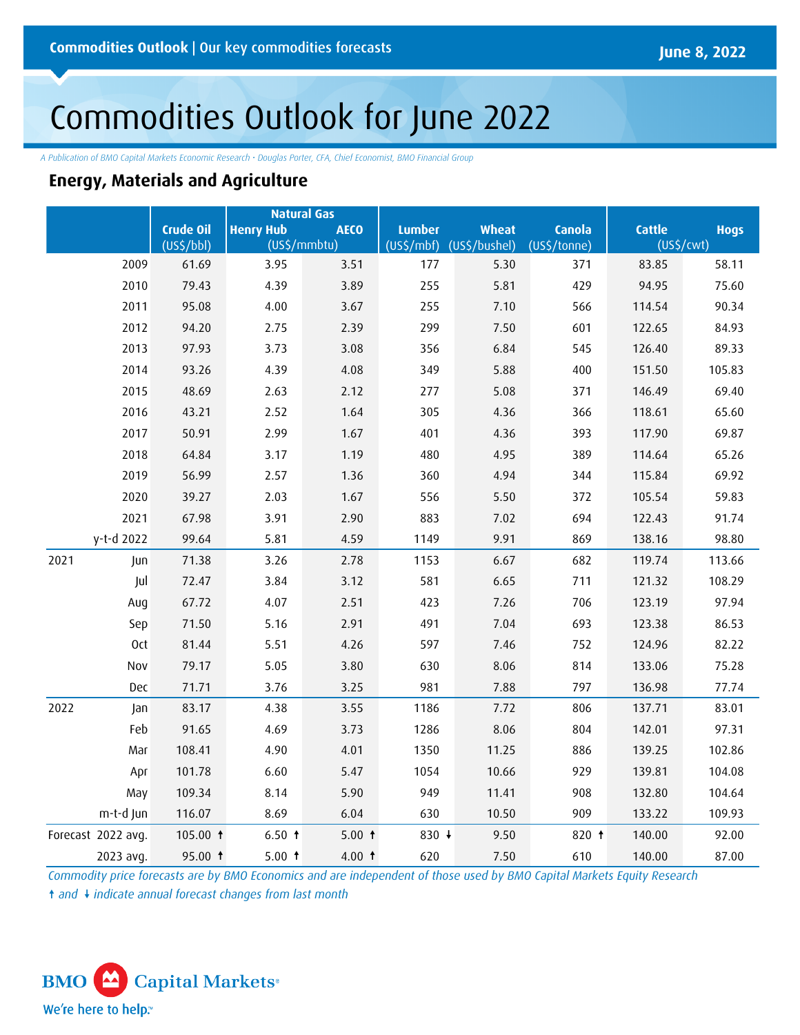# Commodities Outlook for June 2022

*A Publication of BMO Capital Markets Economic Research • Douglas Porter, CFA, Chief Economist, BMO Financial Group*

## **Energy, Materials and Agriculture**

|                    |                       | <b>Natural Gas</b>                              |          |                                                           |       |               |                        |             |
|--------------------|-----------------------|-------------------------------------------------|----------|-----------------------------------------------------------|-------|---------------|------------------------|-------------|
|                    | Crude Oil             | <b>Henry Hub</b><br><b>AECO</b><br>(US\$/mmbtu) |          | <b>Lumber</b><br><b>Wheat</b><br>(US\$/mbf) (US\$/bushel) |       | <b>Canola</b> | <b>Cattle</b>          | <b>Hogs</b> |
|                    | (US <sup>2</sup> /bb) |                                                 |          |                                                           |       | (US\$/tonne)  | (US <sup>2</sup> /cwt) |             |
| 2009               | 61.69                 | 3.95                                            | 3.51     | 177                                                       | 5.30  | 371           | 83.85                  | 58.11       |
| 2010               | 79.43                 | 4.39                                            | 3.89     | 255                                                       | 5.81  | 429           | 94.95                  | 75.60       |
| 2011               | 95.08                 | 4.00                                            | 3.67     | 255                                                       | 7.10  | 566           | 114.54                 | 90.34       |
| 2012               | 94.20                 | 2.75                                            | 2.39     | 299                                                       | 7.50  | 601           | 122.65                 | 84.93       |
| 2013               | 97.93                 | 3.73                                            | 3.08     | 356                                                       | 6.84  | 545           | 126.40                 | 89.33       |
| 2014               | 93.26                 | 4.39                                            | 4.08     | 349                                                       | 5.88  | 400           | 151.50                 | 105.83      |
| 2015               | 48.69                 | 2.63                                            | 2.12     | 277                                                       | 5.08  | 371           | 146.49                 | 69.40       |
| 2016               | 43.21                 | 2.52                                            | 1.64     | 305                                                       | 4.36  | 366           | 118.61                 | 65.60       |
| 2017               | 50.91                 | 2.99                                            | 1.67     | 401                                                       | 4.36  | 393           | 117.90                 | 69.87       |
| 2018               | 64.84                 | 3.17                                            | 1.19     | 480                                                       | 4.95  | 389           | 114.64                 | 65.26       |
| 2019               | 56.99                 | 2.57                                            | 1.36     | 360                                                       | 4.94  | 344           | 115.84                 | 69.92       |
| 2020               | 39.27                 | 2.03                                            | 1.67     | 556                                                       | 5.50  | 372           | 105.54                 | 59.83       |
| 2021               | 67.98                 | 3.91                                            | 2.90     | 883                                                       | 7.02  | 694           | 122.43                 | 91.74       |
| y-t-d 2022         | 99.64                 | 5.81                                            | 4.59     | 1149                                                      | 9.91  | 869           | 138.16                 | 98.80       |
| 2021<br>Jun        | 71.38                 | 3.26                                            | 2.78     | 1153                                                      | 6.67  | 682           | 119.74                 | 113.66      |
| Jul                | 72.47                 | 3.84                                            | 3.12     | 581                                                       | 6.65  | 711           | 121.32                 | 108.29      |
| Aug                | 67.72                 | 4.07                                            | 2.51     | 423                                                       | 7.26  | 706           | 123.19                 | 97.94       |
| Sep                | 71.50                 | 5.16                                            | 2.91     | 491                                                       | 7.04  | 693           | 123.38                 | 86.53       |
| 0ct                | 81.44                 | 5.51                                            | 4.26     | 597                                                       | 7.46  | 752           | 124.96                 | 82.22       |
| Nov                | 79.17                 | 5.05                                            | 3.80     | 630                                                       | 8.06  | 814           | 133.06                 | 75.28       |
| Dec                | 71.71                 | 3.76                                            | 3.25     | 981                                                       | 7.88  | 797           | 136.98                 | 77.74       |
| 2022<br>Jan        | 83.17                 | 4.38                                            | 3.55     | 1186                                                      | 7.72  | 806           | 137.71                 | 83.01       |
| Feb                | 91.65                 | 4.69                                            | 3.73     | 1286                                                      | 8.06  | 804           | 142.01                 | 97.31       |
| Mar                | 108.41                | 4.90                                            | 4.01     | 1350                                                      | 11.25 | 886           | 139.25                 | 102.86      |
| Apr                | 101.78                | 6.60                                            | 5.47     | 1054                                                      | 10.66 | 929           | 139.81                 | 104.08      |
| May                | 109.34                | 8.14                                            | 5.90     | 949                                                       | 11.41 | 908           | 132.80                 | 104.64      |
| m-t-d Jun          | 116.07                | 8.69                                            | 6.04     | 630                                                       | 10.50 | 909           | 133.22                 | 109.93      |
| Forecast 2022 avg. | 105.00 $†$            | 6.50 f                                          | 5.00 $†$ | 830 ↓                                                     | 9.50  | 820 t         | 140.00                 | 92.00       |
| 2023 avg.          | 95.00 ↑               | 5.00 f                                          | 4.00 $†$ | 620                                                       | 7.50  | 610           | 140.00                 | 87.00       |

*Commodity price forecasts are by BMO Economics and are independent of those used by BMO Capital Markets Equity Research* ↑ and ↓ indicate annual forecast changes from last month

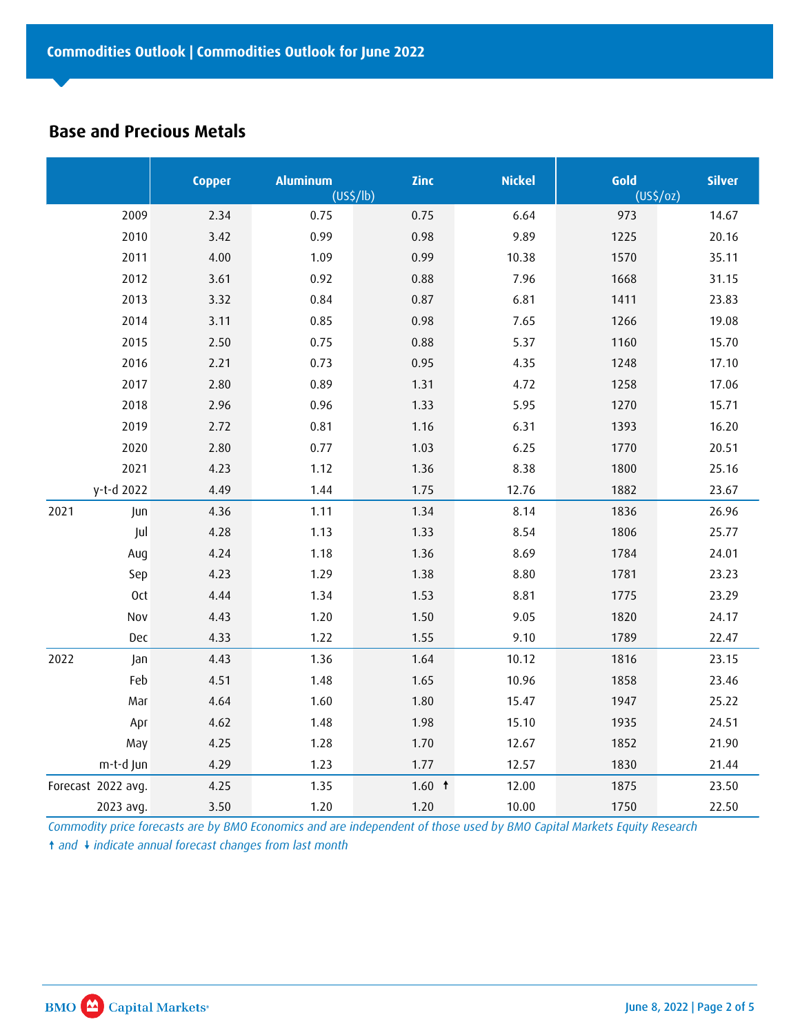## **Base and Precious Metals**

|                    | <b>Copper</b> | <b>Aluminum</b> | Zinc     | <b>Nickel</b> | Gold           | <b>Silver</b> |
|--------------------|---------------|-----------------|----------|---------------|----------------|---------------|
|                    |               | $(US\zeta/lb)$  |          |               | $(US\zeta/oz)$ |               |
| 2009               | 2.34          | 0.75            | 0.75     | 6.64          | 973            | 14.67         |
| 2010               | 3.42          | 0.99            | 0.98     | 9.89          | 1225           | 20.16         |
| 2011               | 4.00          | 1.09            | 0.99     | 10.38         | 1570           | 35.11         |
| 2012               | 3.61          | 0.92            | 0.88     | 7.96          | 1668           | 31.15         |
| 2013               | 3.32          | 0.84            | 0.87     | 6.81          | 1411           | 23.83         |
| 2014               | 3.11          | 0.85            | 0.98     | 7.65          | 1266           | 19.08         |
| 2015               | 2.50          | 0.75            | 0.88     | 5.37          | 1160           | 15.70         |
| 2016               | 2.21          | 0.73            | 0.95     | 4.35          | 1248           | 17.10         |
| 2017               | 2.80          | 0.89            | 1.31     | 4.72          | 1258           | 17.06         |
| 2018               | 2.96          | 0.96            | 1.33     | 5.95          | 1270           | 15.71         |
| 2019               | 2.72          | 0.81            | 1.16     | 6.31          | 1393           | 16.20         |
| 2020               | 2.80          | 0.77            | 1.03     | 6.25          | 1770           | 20.51         |
| 2021               | 4.23          | 1.12            | 1.36     | 8.38          | 1800           | 25.16         |
| y-t-d 2022         | 4.49          | 1.44            | 1.75     | 12.76         | 1882           | 23.67         |
| 2021<br>Jun        | 4.36          | 1.11            | 1.34     | 8.14          | 1836           | 26.96         |
| Jul                | 4.28          | 1.13            | 1.33     | 8.54          | 1806           | 25.77         |
| Aug                | 4.24          | 1.18            | 1.36     | 8.69          | 1784           | 24.01         |
| Sep                | 4.23          | 1.29            | 1.38     | 8.80          | 1781           | 23.23         |
| <b>Oct</b>         | 4.44          | 1.34            | 1.53     | 8.81          | 1775           | 23.29         |
| Nov                | 4.43          | 1.20            | 1.50     | 9.05          | 1820           | 24.17         |
| Dec                | 4.33          | 1.22            | 1.55     | 9.10          | 1789           | 22.47         |
| 2022<br>Jan        | 4.43          | 1.36            | 1.64     | 10.12         | 1816           | 23.15         |
| Feb                | 4.51          | 1.48            | 1.65     | 10.96         | 1858           | 23.46         |
| Mar                | 4.64          | 1.60            | 1.80     | 15.47         | 1947           | 25.22         |
| Apr                | 4.62          | 1.48            | 1.98     | 15.10         | 1935           | 24.51         |
| May                | 4.25          | 1.28            | 1.70     | 12.67         | 1852           | 21.90         |
| m-t-d Jun          | 4.29          | 1.23            | 1.77     | 12.57         | 1830           | 21.44         |
| Forecast 2022 avg. | 4.25          | 1.35            | 1.60 $†$ | 12.00         | 1875           | 23.50         |
| 2023 avg.          | 3.50          | 1.20            | 1.20     | 10.00         | 1750           | 22.50         |

*Commodity price forecasts are by BMO Economics and are independent of those used by BMO Capital Markets Equity Research* ↑ and ↓ indicate annual forecast changes from last month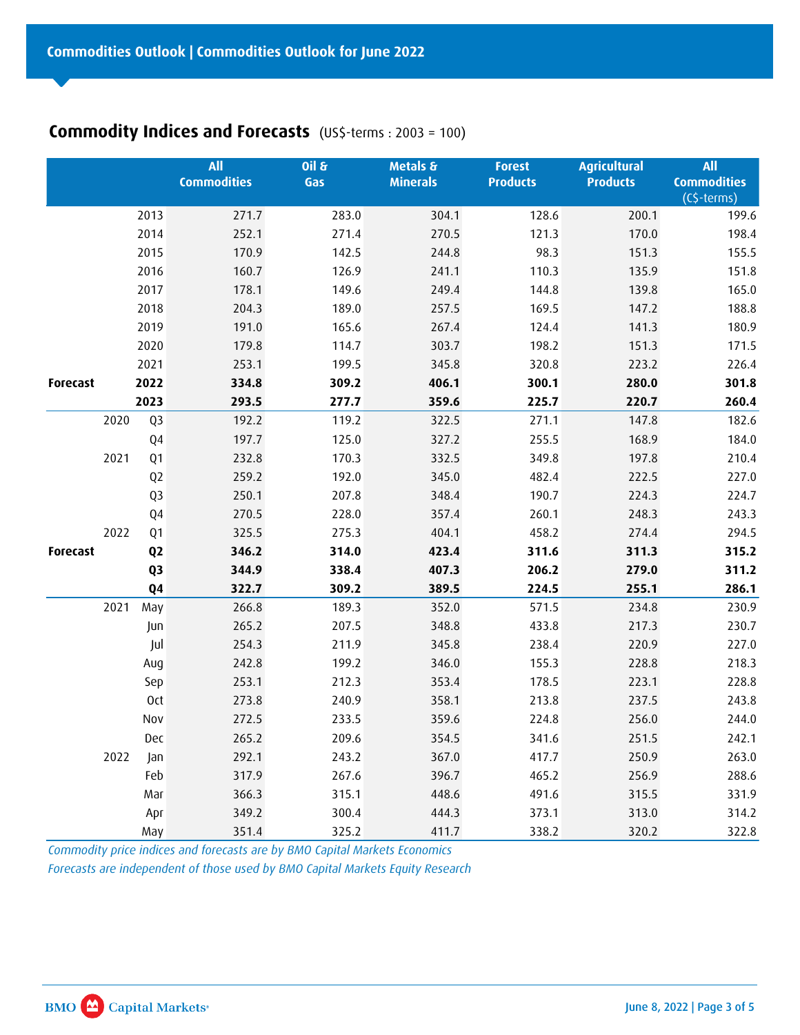# **Commodity Indices and Forecasts** (US\$-terms : 2003 = 100)

| Commodities Outlook   Commodities Outlook for June 2022<br><b>Commodity Indices and Forecasts</b> (US\$-terms : 2003 = 100)<br>2013<br>2014<br>2015<br>2016<br>2017<br>2018<br>2019<br>2020<br>2021<br>2022<br>Forecast<br>2023<br>2020<br>Q3<br>Q4<br>2021<br>$\mathsf{Q1}$<br>Q <sub>2</sub><br>Q3<br>${\sf Q4}$<br>2022<br>$\mathsf{Q1}$<br>Q <sub>2</sub><br>Forecast<br>Q3<br>Q <sub>4</sub><br>2021<br>May<br>Jun<br>Jul<br>Aug<br>Sep<br>Oct<br>Nov<br>Dec<br>2022<br>Jan<br>Feb<br>Mar<br>Apr<br>May<br>Commodity price indices and forecasts are by BMO Capital Markets Economics<br>Forecasts are independent of those used by BMO Capital Markets Equity Research | $\overline{\text{All}}$<br><b>Commodities</b><br>271.7<br>252.1<br>170.9<br>160.7<br>178.1<br>204.3<br>191.0<br>179.8<br>253.1<br>334.8<br>293.5<br>192.2<br>197.7<br>232.8<br>259.2<br>250.1<br>270.5<br>325.5<br>346.2<br>344.9<br>322.7<br>266.8<br>265.2<br>254.3<br>242.8<br>253.1<br>273.8<br>272.5<br>265.2<br>292.1<br>317.9<br>366.3<br>349.2<br>351.4 | O(16)<br>Gas<br>283.0<br>271.4<br>142.5<br>126.9<br>149.6<br>189.0<br>165.6<br>114.7<br>199.5<br>309.2<br>277.7<br>119.2<br>125.0<br>170.3<br>192.0<br>207.8<br>228.0<br>275.3<br>314.0<br>338.4<br>309.2<br>189.3<br>207.5<br>211.9<br>199.2<br>212.3<br>240.9<br>233.5<br>209.6<br>243.2<br>267.6<br>315.1<br>300.4<br>325.2 | Metals &<br><b>Minerals</b><br>304.1<br>270.5<br>244.8<br>241.1<br>249.4<br>257.5<br>267.4<br>303.7<br>345.8<br>406.1<br>359.6<br>322.5<br>327.2<br>332.5<br>345.0<br>348.4<br>357.4<br>404.1<br>423.4<br>407.3<br>389.5<br>352.0<br>348.8<br>345.8<br>346.0<br>353.4<br>358.1<br>359.6<br>354.5<br>367.0<br>396.7<br>448.6<br>444.3<br>411.7 | <b>Forest</b><br><b>Products</b><br>128.6<br>121.3<br>98.3<br>110.3<br>144.8<br>169.5<br>124.4<br>198.2<br>320.8<br>300.1<br>225.7<br>271.1<br>255.5<br>349.8<br>482.4<br>190.7<br>260.1<br>458.2<br>311.6<br>206.2<br>224.5<br>571.5<br>433.8<br>238.4<br>155.3<br>178.5<br>213.8<br>224.8<br>341.6<br>417.7<br>465.2<br>491.6<br>373.1<br>338.2 | <b>Agricultural</b><br><b>Products</b><br>200.1<br>170.0<br>151.3<br>135.9<br>139.8<br>147.2<br>141.3<br>151.3<br>223.2<br>280.0<br>220.7<br>147.8<br>168.9<br>197.8<br>222.5<br>224.3<br>248.3<br>274.4<br>311.3<br>279.0<br>255.1<br>234.8<br>217.3<br>220.9<br>228.8<br>223.1<br>237.5<br>256.0<br>251.5<br>250.9<br>256.9<br>315.5<br>313.0<br>320.2 | $\overline{All}$<br><b>Commodities</b><br>(C\$-terms)<br>199.6<br>198.4<br>155.5<br>151.8<br>165.0<br>188.8<br>180.9<br>171.5<br>226.4<br>301.8<br>260.4<br>182.6<br>184.0<br>210.4<br>227.0<br>224.7<br>243.3<br>294.5<br>315.2<br>311.2<br>286.1<br>230.9<br>230.7<br>227.0<br>218.3<br>228.8<br>243.8<br>244.0<br>242.1<br>263.0<br>288.6<br>331.9<br>314.2<br>322.8 |
|------------------------------------------------------------------------------------------------------------------------------------------------------------------------------------------------------------------------------------------------------------------------------------------------------------------------------------------------------------------------------------------------------------------------------------------------------------------------------------------------------------------------------------------------------------------------------------------------------------------------------------------------------------------------------|-----------------------------------------------------------------------------------------------------------------------------------------------------------------------------------------------------------------------------------------------------------------------------------------------------------------------------------------------------------------|--------------------------------------------------------------------------------------------------------------------------------------------------------------------------------------------------------------------------------------------------------------------------------------------------------------------------------|-----------------------------------------------------------------------------------------------------------------------------------------------------------------------------------------------------------------------------------------------------------------------------------------------------------------------------------------------|---------------------------------------------------------------------------------------------------------------------------------------------------------------------------------------------------------------------------------------------------------------------------------------------------------------------------------------------------|----------------------------------------------------------------------------------------------------------------------------------------------------------------------------------------------------------------------------------------------------------------------------------------------------------------------------------------------------------|-------------------------------------------------------------------------------------------------------------------------------------------------------------------------------------------------------------------------------------------------------------------------------------------------------------------------------------------------------------------------|
| <b>BMO</b> Capital Markets <sup>®</sup>                                                                                                                                                                                                                                                                                                                                                                                                                                                                                                                                                                                                                                      |                                                                                                                                                                                                                                                                                                                                                                 |                                                                                                                                                                                                                                                                                                                                |                                                                                                                                                                                                                                                                                                                                               |                                                                                                                                                                                                                                                                                                                                                   |                                                                                                                                                                                                                                                                                                                                                          | June 8, 2022   Page 3 of 5                                                                                                                                                                                                                                                                                                                                              |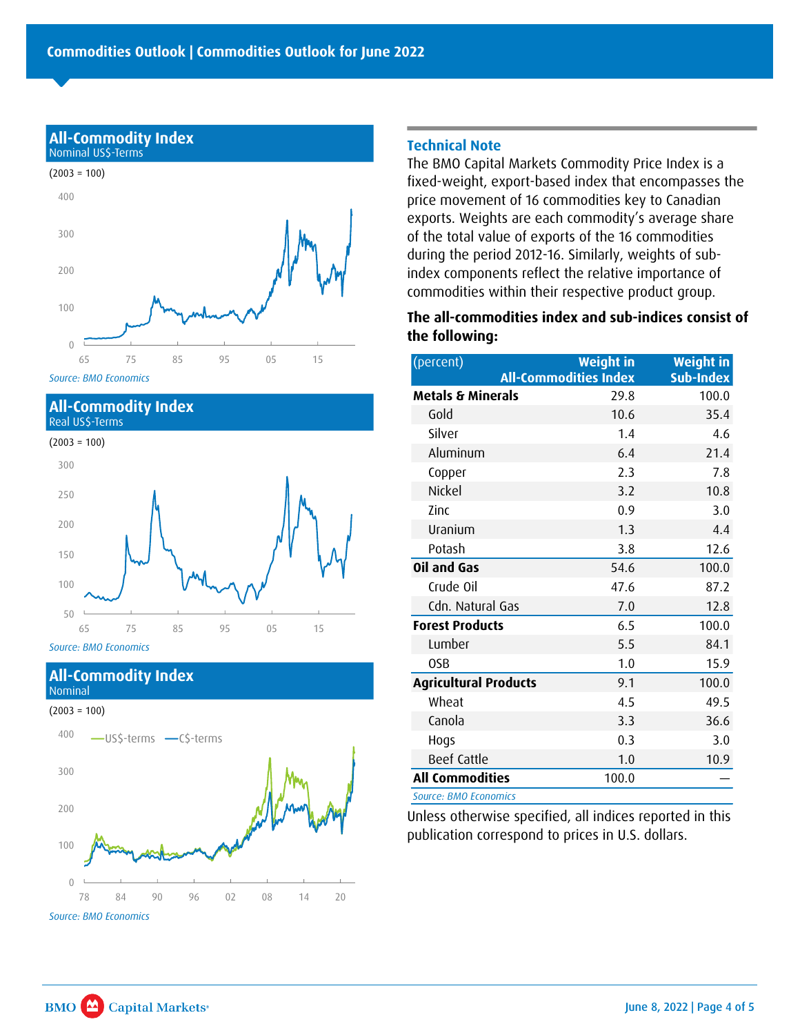

*Source: BMO Economics*

#### **All-Commodity Index** Real US\$-Terms



#### **All-Commodity Index** Nominal

#### $(2003 = 100)$



#### **Technical Note**

The BMO Capital Markets Commodity Price Index is a fixed-weight, export-based index that encompasses the price movement of 16 commodities key to Canadian exports. Weights are each commodity's average share of the total value of exports of the 16 commodities during the period 2012-16. Similarly, weights of subindex components reflect the relative importance of commodities within their respective product group.

## **The all-commodities index and sub-indices consist of the following:**

| <b>Weight in</b> | <b>Weight in</b><br><b>Sub-Index</b> |
|------------------|--------------------------------------|
|                  | 100.0                                |
| 10.6             | 35.4                                 |
| 1.4              | 4.6                                  |
| 6.4              | 21.4                                 |
| 2.3              | 7.8                                  |
| 3.2              | 10.8                                 |
| 0.9              | 3.0                                  |
| 1.3              | 4.4                                  |
| 3.8              | 12.6                                 |
| 54.6             | 100.0                                |
| 47.6             | 87.2                                 |
| 7.0              | 12.8                                 |
| 6.5              | 100.0                                |
| 5.5              | 84.1                                 |
| 1.0              | 15.9                                 |
| 9.1              | 100.0                                |
| 4.5              | 49.5                                 |
| 3.3              | 36.6                                 |
| 0.3              | 3.0                                  |
| 1.0              | 10.9                                 |
| 100.0            |                                      |
|                  | <b>All-Commodities Index</b><br>29.8 |

. *Source: BMO Economics*

Unless otherwise specified, all indices reported in this publication correspond to prices in U.S. dollars.